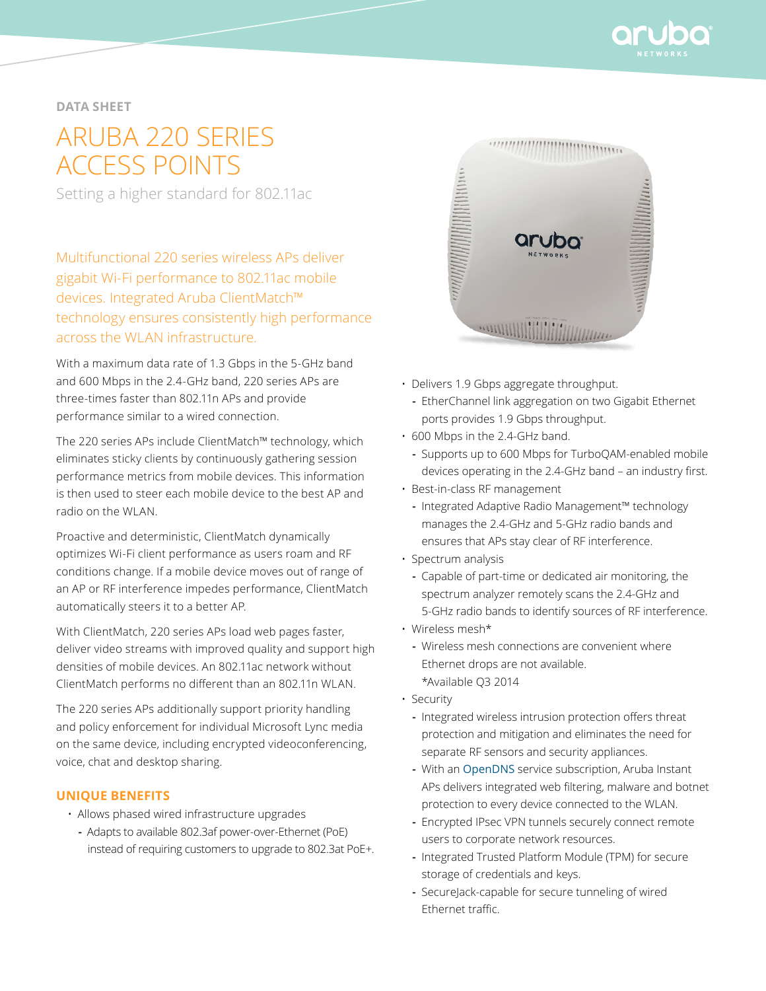

## **data sheet**

# ARUBA 220 SERIES ACCESS POINTS

Setting a higher standard for 802.11ac

Multifunctional 220 series wireless APs deliver gigabit Wi-Fi performance to 802.11ac mobile devices. Integrated Aruba ClientMatch™ technology ensures consistently high performance across the WLAN infrastructure.

With a maximum data rate of 1.3 Gbps in the 5-GHz band and 600 Mbps in the 2.4-GHz band, 220 series APs are three-times faster than 802.11n APs and provide performance similar to a wired connection.

The 220 series APs include ClientMatch™ technology, which eliminates sticky clients by continuously gathering session performance metrics from mobile devices. This information is then used to steer each mobile device to the best AP and radio on the WLAN.

Proactive and deterministic, ClientMatch dynamically optimizes Wi-Fi client performance as users roam and RF conditions change. If a mobile device moves out of range of an AP or RF interference impedes performance, ClientMatch automatically steers it to a better AP.

With ClientMatch, 220 series APs load web pages faster, deliver video streams with improved quality and support high densities of mobile devices. An 802.11ac network without ClientMatch performs no different than an 802.11n WLAN.

The 220 series APs additionally support priority handling and policy enforcement for individual Microsoft Lync media on the same device, including encrypted videoconferencing, voice, chat and desktop sharing.

#### **Unique benefits**

- Allows phased wired infrastructure upgrades
	- **-** Adapts to available 802.3af power-over-Ethernet (PoE) instead of requiring customers to upgrade to 802.3at PoE+.



- Delivers 1.9 Gbps aggregate throughput.
	- **-** EtherChannel link aggregation on two Gigabit Ethernet ports provides 1.9 Gbps throughput.
- 600 Mbps in the 2.4-GHz band.
	- **-** Supports up to 600 Mbps for TurboQAM-enabled mobile devices operating in the 2.4-GHz band – an industry first.
- Best-in-class RF management
	- **-** Integrated Adaptive Radio Management™ technology manages the 2.4-GHz and 5-GHz radio bands and ensures that APs stay clear of RF interference.
- Spectrum analysis
	- **-** Capable of part-time or dedicated air monitoring, the spectrum analyzer remotely scans the 2.4-GHz and 5-GHz radio bands to identify sources of RF interference.
- Wireless mesh\*
	- **-** Wireless mesh connections are convenient where Ethernet drops are not available. \*Available Q3 2014
- Security
	- **-** Integrated wireless intrusion protection offers threat protection and mitigation and eliminates the need for separate RF sensors and security appliances.
	- **-** With an [OpenDNS](http://www.opendns.com/) service subscription, Aruba Instant APs delivers integrated web filtering, malware and botnet protection to every device connected to the WLAN.
	- **-** Encrypted IPsec VPN tunnels securely connect remote users to corporate network resources.
	- **-** Integrated Trusted Platform Module (TPM) for secure storage of credentials and keys.
	- **-** SecureJack-capable for secure tunneling of wired Ethernet traffic.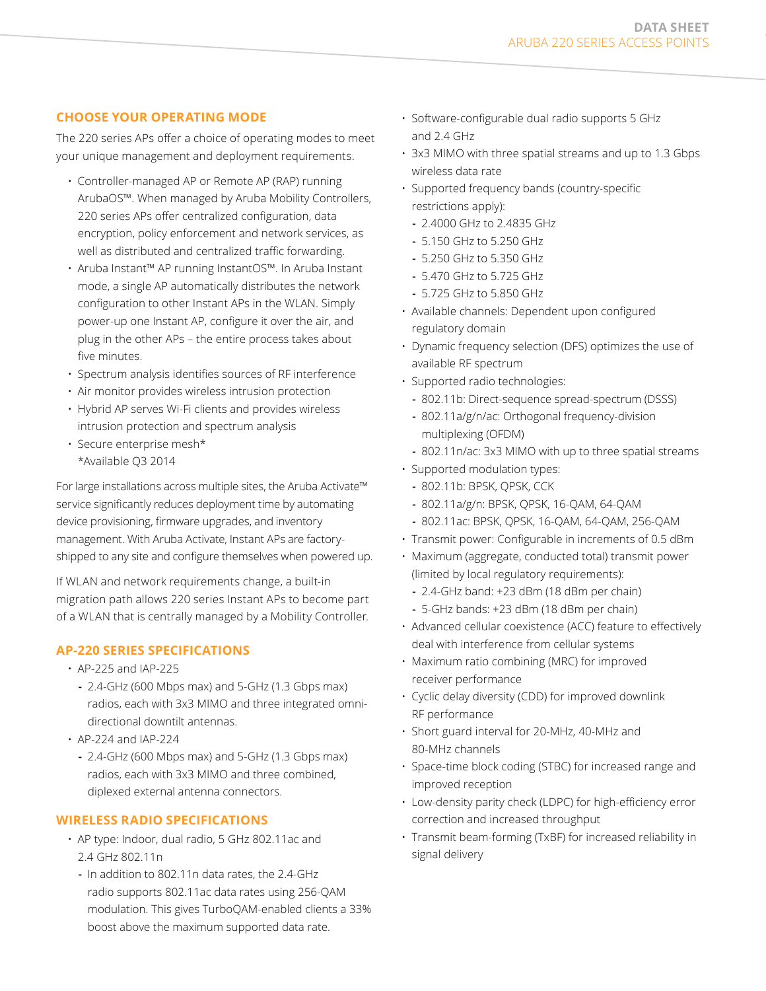## **Choose your operating mode**

The 220 series APs offer a choice of operating modes to meet your unique management and deployment requirements.

- Controller-managed AP or Remote AP (RAP) running ArubaOS™. When managed by Aruba Mobility Controllers, 220 series APs offer centralized configuration, data encryption, policy enforcement and network services, as well as distributed and centralized traffic forwarding.
- Aruba Instant™ AP running InstantOS™. In Aruba Instant mode, a single AP automatically distributes the network configuration to other Instant APs in the WLAN. Simply power-up one Instant AP, configure it over the air, and plug in the other APs – the entire process takes about five minutes.
- Spectrum analysis identifies sources of RF interference
- Air monitor provides wireless intrusion protection
- Hybrid AP serves Wi-Fi clients and provides wireless intrusion protection and spectrum analysis
- Secure enterprise mesh\* \*Available Q3 2014

For large installations across multiple sites, the Aruba Activate™ service significantly reduces deployment time by automating device provisioning, firmware upgrades, and inventory management. With Aruba Activate, Instant APs are factoryshipped to any site and configure themselves when powered up.

If WLAN and network requirements change, a built-in migration path allows 220 series Instant APs to become part of a WLAN that is centrally managed by a Mobility Controller.

## **AP-220 series specifications**

- AP-225 and IAP-225
- **-** 2.4-GHz (600 Mbps max) and 5-GHz (1.3 Gbps max) radios, each with 3x3 MIMO and three integrated omnidirectional downtilt antennas.
- AP-224 and IAP-224
	- **-** 2.4-GHz (600 Mbps max) and 5-GHz (1.3 Gbps max) radios, each with 3x3 MIMO and three combined, diplexed external antenna connectors.

## **Wireless radio specifications**

- AP type: Indoor, dual radio, 5 GHz 802.11ac and 2.4 GHz 802.11n
	- **-** In addition to 802.11n data rates, the 2.4-GHz radio supports 802.11ac data rates using 256-QAM modulation. This gives TurboQAM-enabled clients a 33% boost above the maximum supported data rate.
- Software-configurable dual radio supports 5 GHz and 2.4 GHz
- 3x3 MIMO with three spatial streams and up to 1.3 Gbps wireless data rate
- Supported frequency bands (country-specific restrictions apply):
	- **-** 2.4000 GHz to 2.4835 GHz
	- **-** 5.150 GHz to 5.250 GHz
	- **-** 5.250 GHz to 5.350 GHz
	- **-** 5.470 GHz to 5.725 GHz
	- **-** 5.725 GHz to 5.850 GHz
- Available channels: Dependent upon configured regulatory domain
- Dynamic frequency selection (DFS) optimizes the use of available RF spectrum
- Supported radio technologies:
	- **-** 802.11b: Direct-sequence spread-spectrum (DSSS)
	- **-** 802.11a/g/n/ac: Orthogonal frequency-division multiplexing (OFDM)
	- **-** 802.11n/ac: 3x3 MIMO with up to three spatial streams
- Supported modulation types:
	- **-** 802.11b: BPSK, QPSK, CCK
	- **-** 802.11a/g/n: BPSK, QPSK, 16-QAM, 64-QAM
	- **-** 802.11ac: BPSK, QPSK, 16-QAM, 64-QAM, 256-QAM
- Transmit power: Configurable in increments of 0.5 dBm
- Maximum (aggregate, conducted total) transmit power (limited by local regulatory requirements):
	- **-** 2.4-GHz band: +23 dBm (18 dBm per chain)
	- **-** 5-GHz bands: +23 dBm (18 dBm per chain)
- Advanced cellular coexistence (ACC) feature to effectively deal with interference from cellular systems
- Maximum ratio combining (MRC) for improved receiver performance
- Cyclic delay diversity (CDD) for improved downlink RF performance
- Short guard interval for 20-MHz, 40-MHz and 80-MHz channels
- Space-time block coding (STBC) for increased range and improved reception
- Low-density parity check (LDPC) for high-efficiency error correction and increased throughput
- Transmit beam-forming (TxBF) for increased reliability in signal delivery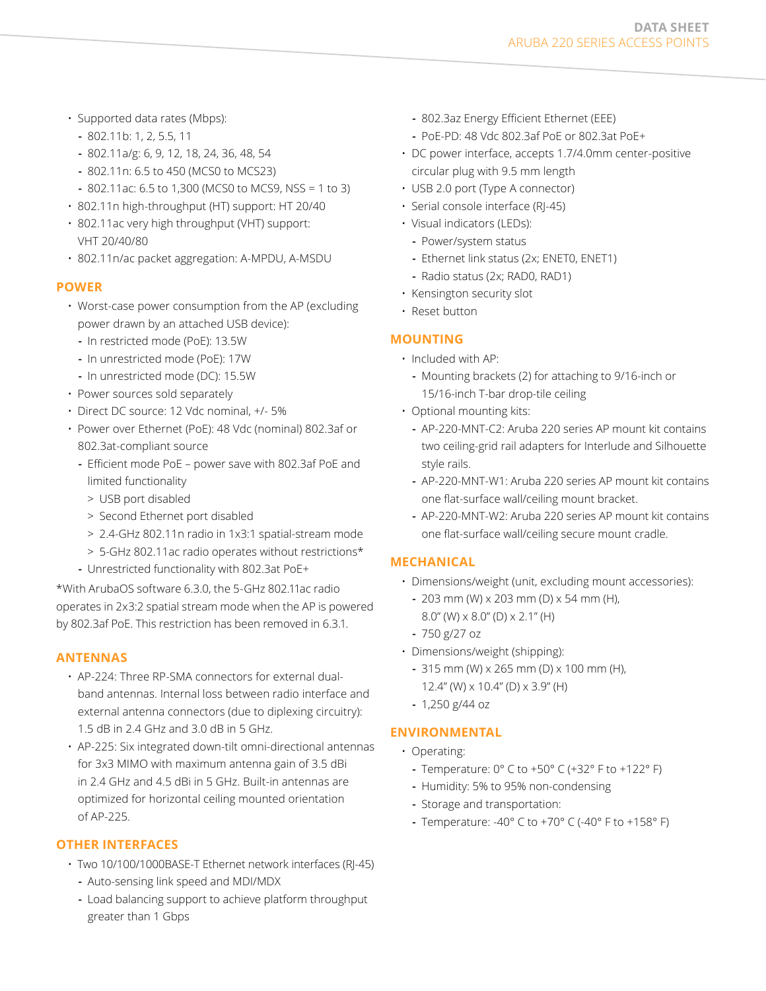- Supported data rates (Mbps):
	- **-** 802.11b: 1, 2, 5.5, 11
	- **-** 802.11a/g: 6, 9, 12, 18, 24, 36, 48, 54
	- **-** 802.11n: 6.5 to 450 (MCS0 to MCS23)
	- **-** 802.11ac: 6.5 to 1,300 (MCS0 to MCS9, NSS = 1 to 3)
- 802.11n high-throughput (HT) support: HT 20/40
- 802.11ac very high throughput (VHT) support: VHT 20/40/80
- 802.11n/ac packet aggregation: A-MPDU, A-MSDU

## **Power**

- Worst-case power consumption from the AP (excluding power drawn by an attached USB device):
	- **-** In restricted mode (PoE): 13.5W
	- **-** In unrestricted mode (PoE): 17W
	- **-** In unrestricted mode (DC): 15.5W
- Power sources sold separately
- Direct DC source: 12 Vdc nominal, +/- 5%
- Power over Ethernet (PoE): 48 Vdc (nominal) 802.3af or 802.3at-compliant source
	- **-** Efficient mode PoE power save with 802.3af PoE and limited functionality
		- > USB port disabled
		- > Second Ethernet port disabled
		- > 2.4-GHz 802.11n radio in 1x3:1 spatial-stream mode
		- > 5-GHz 802.11ac radio operates without restrictions\*
	- **-** Unrestricted functionality with 802.3at PoE+

\*With ArubaOS software 6.3.0, the 5-GHz 802.11ac radio operates in 2x3:2 spatial stream mode when the AP is powered by 802.3af PoE. This restriction has been removed in 6.3.1.

#### **Antennas**

- AP-224: Three RP-SMA connectors for external dualband antennas. Internal loss between radio interface and external antenna connectors (due to diplexing circuitry): 1.5 dB in 2.4 GHz and 3.0 dB in 5 GHz.
- AP-225: Six integrated down-tilt omni-directional antennas for 3x3 MIMO with maximum antenna gain of 3.5 dBi in 2.4 GHz and 4.5 dBi in 5 GHz. Built-in antennas are optimized for horizontal ceiling mounted orientation of AP-225.

#### **Other interfaces**

- Two 10/100/1000BASE-T Ethernet network interfaces (RJ-45)
	- **-** Auto-sensing link speed and MDI/MDX
	- **-** Load balancing support to achieve platform throughput greater than 1 Gbps
- **-** 802.3az Energy Efficient Ethernet (EEE)
- **-** PoE-PD: 48 Vdc 802.3af PoE or 802.3at PoE+
- DC power interface, accepts 1.7/4.0mm center-positive circular plug with 9.5 mm length
- USB 2.0 port (Type A connector)
- Serial console interface (RJ-45)
- Visual indicators (LEDs):
- **-** Power/system status
- **-** Ethernet link status (2x; ENET0, ENET1)
- **-** Radio status (2x; RAD0, RAD1)
- Kensington security slot
- Reset button

## **Mounting**

- Included with AP:
	- **-** Mounting brackets (2) for attaching to 9/16-inch or 15/16-inch T-bar drop-tile ceiling
- Optional mounting kits:
	- **-** AP-220-MNT-C2: Aruba 220 series AP mount kit contains two ceiling-grid rail adapters for Interlude and Silhouette style rails.
	- **-** AP-220-MNT-W1: Aruba 220 series AP mount kit contains one flat-surface wall/ceiling mount bracket.
	- **-** AP-220-MNT-W2: Aruba 220 series AP mount kit contains one flat-surface wall/ceiling secure mount cradle.

## **Mechanical**

- Dimensions/weight (unit, excluding mount accessories):
	- **-** 203 mm (W) x 203 mm (D) x 54 mm (H), 8.0" (W) x 8.0" (D) x 2.1" (H)
	- **-** 750 g/27 oz
- Dimensions/weight (shipping):
	- **-** 315 mm (W) x 265 mm (D) x 100 mm (H), 12.4" (W) x 10.4" (D) x 3.9" (H)
	- **-** 1,250 g/44 oz

## **Environmental**

- Operating:
	- **-** Temperature: 0° C to +50° C (+32° F to +122° F)
	- **-** Humidity: 5% to 95% non-condensing
	- **-** Storage and transportation:
	- **-** Temperature: -40° C to +70° C (-40° F to +158° F)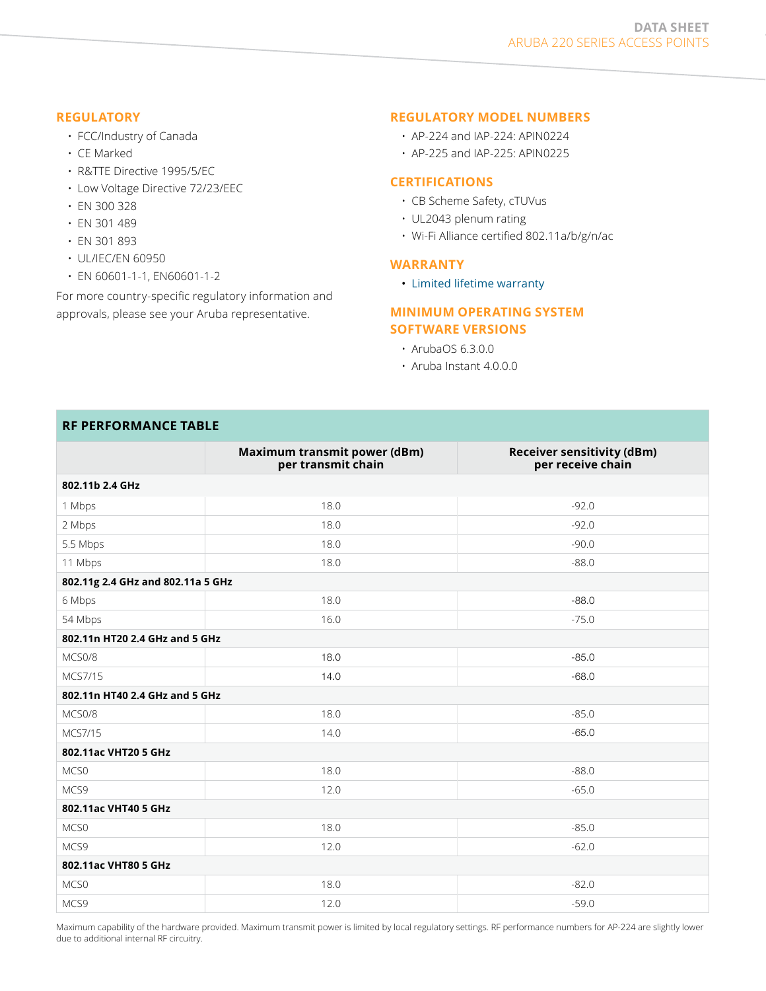#### **Regulatory**

- FCC/Industry of Canada
- CE Marked
- R&TTE Directive 1995/5/EC
- Low Voltage Directive 72/23/EEC
- EN 300 328
- EN 301 489
- EN 301 893
- UL/IEC/EN 60950
- EN 60601-1-1, EN60601-1-2

For more country-specific regulatory information and approvals, please see your Aruba representative.

#### **REGULATORY MODEL NUMBERS**

- AP-224 and IAP-224: APIN0224
- AP-225 and IAP-225: APIN0225

#### **Certifications**

- CB Scheme Safety, cTUVus
- UL2043 plenum rating
- Wi-Fi Alliance certified 802.11a/b/g/n/ac

#### **Warranty**

• [Limited lifetime warranty](http://www.arubanetworks.com/support/lifetime_warranty.php)

#### **Minimum operating system software versions**

- ArubaOS 6.3.0.0
- Aruba Instant 4.0.0.0

#### **RF PERFORMANCE TABLE**

|                                   | Maximum transmit power (dBm)<br>per transmit chain | <b>Receiver sensitivity (dBm)</b><br>per receive chain |  |
|-----------------------------------|----------------------------------------------------|--------------------------------------------------------|--|
| 802.11b 2.4 GHz                   |                                                    |                                                        |  |
| 1 Mbps                            | 18.0                                               | $-92.0$                                                |  |
| 2 Mbps                            | 18.0                                               | $-92.0$                                                |  |
| 5.5 Mbps                          | 18.0                                               | $-90.0$                                                |  |
| 11 Mbps                           | 18.0                                               | $-88.0$                                                |  |
| 802.11g 2.4 GHz and 802.11a 5 GHz |                                                    |                                                        |  |
| 6 Mbps                            | 18.0                                               | $-88.0$                                                |  |
| 54 Mbps                           | 16.0                                               | $-75.0$                                                |  |
| 802.11n HT20 2.4 GHz and 5 GHz    |                                                    |                                                        |  |
| MCS0/8                            | 18.0                                               | $-85.0$                                                |  |
| MCS7/15                           | 14.0                                               | $-68.0$                                                |  |
| 802.11n HT40 2.4 GHz and 5 GHz    |                                                    |                                                        |  |
| MCS0/8                            | 18.0                                               | $-85.0$                                                |  |
| MCS7/15                           | 14.0                                               | $-65.0$                                                |  |
| 802.11ac VHT20 5 GHz              |                                                    |                                                        |  |
| MCS <sub>0</sub>                  | 18.0                                               | $-88.0$                                                |  |
| MCS9                              | 12.0                                               | $-65.0$                                                |  |
| 802.11ac VHT40 5 GHz              |                                                    |                                                        |  |
| MCS0                              | 18.0                                               | $-85.0$                                                |  |
| MCS9                              | 12.0                                               | $-62.0$                                                |  |
| 802.11ac VHT80 5 GHz              |                                                    |                                                        |  |
| MCS <sub>0</sub>                  | 18.0                                               | $-82.0$                                                |  |
| MCS9                              | 12.0                                               | $-59.0$                                                |  |

Maximum capability of the hardware provided. Maximum transmit power is limited by local regulatory settings. RF performance numbers for AP-224 are slightly lower due to additional internal RF circuitry.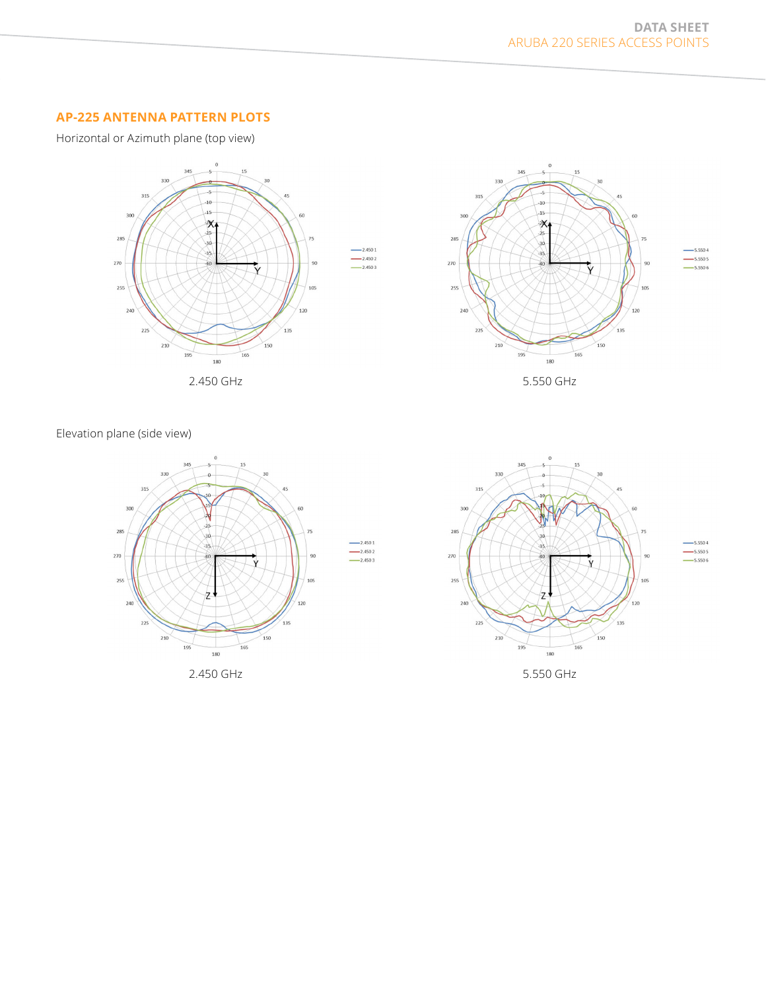## **AP-225 Antenna Pattern Plots**

Horizontal or Azimuth plane (top view)







Elevation plane (side view)





 $-5.5504$  $-$  5.550 4<br>--- 5.550 5<br>--- 5.550 6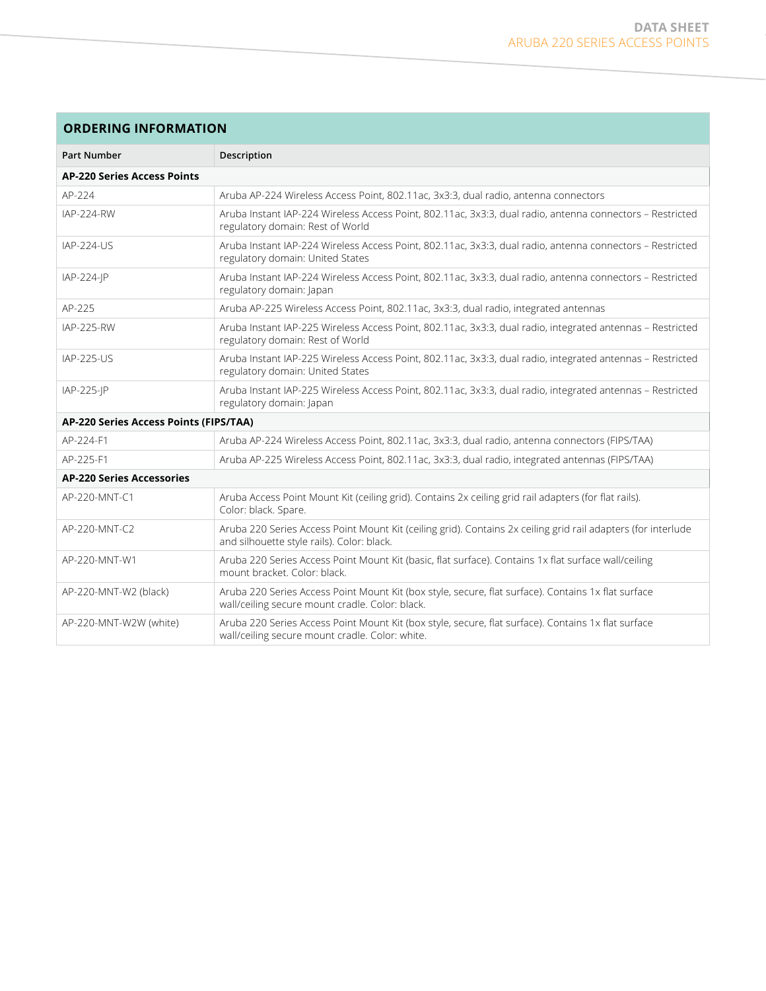## **Ordering Information**

| <b>Part Number</b>                     | Description                                                                                                                                                 |  |
|----------------------------------------|-------------------------------------------------------------------------------------------------------------------------------------------------------------|--|
| <b>AP-220 Series Access Points</b>     |                                                                                                                                                             |  |
| AP-224                                 | Aruba AP-224 Wireless Access Point, 802.11ac, 3x3:3, dual radio, antenna connectors                                                                         |  |
| <b>IAP-224-RW</b>                      | Aruba Instant IAP-224 Wireless Access Point, 802.11ac, 3x3:3, dual radio, antenna connectors - Restricted<br>regulatory domain: Rest of World               |  |
| IAP-224-US                             | Aruba Instant IAP-224 Wireless Access Point, 802.11ac, 3x3:3, dual radio, antenna connectors - Restricted<br>regulatory domain: United States               |  |
| IAP-224-JP                             | Aruba Instant IAP-224 Wireless Access Point, 802.11ac, 3x3:3, dual radio, antenna connectors - Restricted<br>regulatory domain: Japan                       |  |
| AP-225                                 | Aruba AP-225 Wireless Access Point, 802.11ac, 3x3:3, dual radio, integrated antennas                                                                        |  |
| <b>IAP-225-RW</b>                      | Aruba Instant IAP-225 Wireless Access Point, 802.11ac, 3x3:3, dual radio, integrated antennas - Restricted<br>regulatory domain: Rest of World              |  |
| <b>IAP-225-US</b>                      | Aruba Instant IAP-225 Wireless Access Point, 802.11ac, 3x3:3, dual radio, integrated antennas - Restricted<br>regulatory domain: United States              |  |
| IAP-225-JP                             | Aruba Instant IAP-225 Wireless Access Point, 802.11ac, 3x3:3, dual radio, integrated antennas - Restricted<br>regulatory domain: Japan                      |  |
| AP-220 Series Access Points (FIPS/TAA) |                                                                                                                                                             |  |
| AP-224-F1                              | Aruba AP-224 Wireless Access Point, 802.11ac, 3x3:3, dual radio, antenna connectors (FIPS/TAA)                                                              |  |
| AP-225-F1                              | Aruba AP-225 Wireless Access Point, 802.11ac, 3x3:3, dual radio, integrated antennas (FIPS/TAA)                                                             |  |
| <b>AP-220 Series Accessories</b>       |                                                                                                                                                             |  |
| AP-220-MNT-C1                          | Aruba Access Point Mount Kit (ceiling grid). Contains 2x ceiling grid rail adapters (for flat rails).<br>Color: black. Spare.                               |  |
| AP-220-MNT-C2                          | Aruba 220 Series Access Point Mount Kit (ceiling grid). Contains 2x ceiling grid rail adapters (for interlude<br>and silhouette style rails). Color: black. |  |
| AP-220-MNT-W1                          | Aruba 220 Series Access Point Mount Kit (basic, flat surface). Contains 1x flat surface wall/ceiling<br>mount bracket. Color: black.                        |  |
| AP-220-MNT-W2 (black)                  | Aruba 220 Series Access Point Mount Kit (box style, secure, flat surface). Contains 1x flat surface<br>wall/ceiling secure mount cradle. Color: black.      |  |
| AP-220-MNT-W2W (white)                 | Aruba 220 Series Access Point Mount Kit (box style, secure, flat surface). Contains 1x flat surface<br>wall/ceiling secure mount cradle. Color: white.      |  |